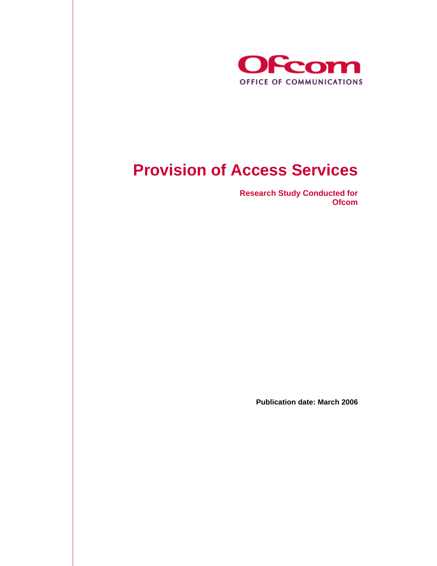

# **Provision of Access Services**

**Research Study Conducted for Ofcom** 

**Publication date: March 2006**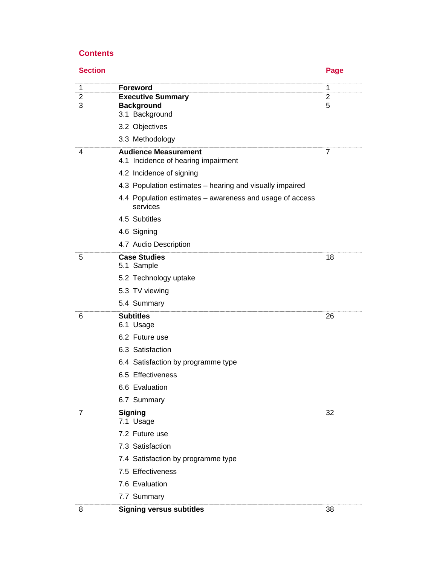# **Contents**

| <b>Section</b> |                                                                      | Page           |
|----------------|----------------------------------------------------------------------|----------------|
| 1              | <b>Foreword</b>                                                      | 1              |
| 2              | <b>Executive Summary</b>                                             | $\overline{c}$ |
| 3              | <b>Background</b><br>3.1 Background                                  | 5              |
|                | 3.2 Objectives                                                       |                |
|                | 3.3 Methodology                                                      |                |
| 4              | <b>Audience Measurement</b><br>4.1 Incidence of hearing impairment   | 7              |
|                | 4.2 Incidence of signing                                             |                |
|                | 4.3 Population estimates – hearing and visually impaired             |                |
|                | 4.4 Population estimates – awareness and usage of access<br>services |                |
|                | 4.5 Subtitles                                                        |                |
|                | 4.6 Signing                                                          |                |
|                | 4.7 Audio Description                                                |                |
| 5              | <b>Case Studies</b><br>5.1 Sample                                    | 18             |
|                | 5.2 Technology uptake                                                |                |
|                | 5.3 TV viewing                                                       |                |
|                | 5.4 Summary                                                          |                |
| 6              | <b>Subtitles</b>                                                     | 26             |
|                | 6.1 Usage<br>6.2 Future use                                          |                |
|                | 6.3 Satisfaction                                                     |                |
|                | 6.4 Satisfaction by programme type                                   |                |
|                | 6.5 Effectiveness                                                    |                |
|                | 6.6 Evaluation                                                       |                |
|                | 6.7 Summary                                                          |                |
| 7              | <b>Signing</b>                                                       | 32             |
|                | 7.1 Usage                                                            |                |
|                | 7.2 Future use                                                       |                |
|                | 7.3 Satisfaction                                                     |                |
|                | 7.4 Satisfaction by programme type                                   |                |
|                | 7.5 Effectiveness                                                    |                |
|                | 7.6 Evaluation                                                       |                |
|                | 7.7 Summary                                                          |                |

J,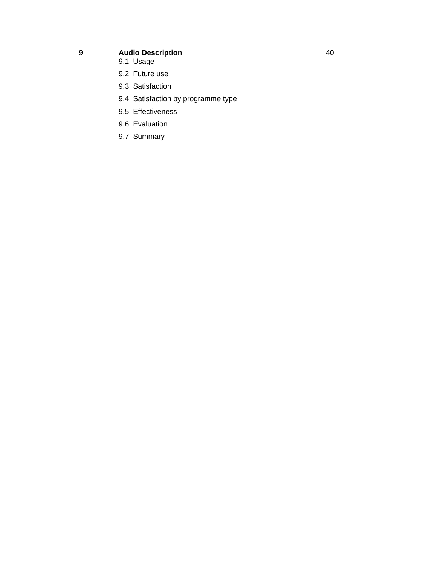- 9 **Audio Description**
	- 9.1 Usage
	- 9.2 Future use
	- 9.3 Satisfaction
	- 9.4 Satisfaction by programme type
	- 9.5 Effectiveness
	- 9.6 Evaluation
	- 9.7 Summary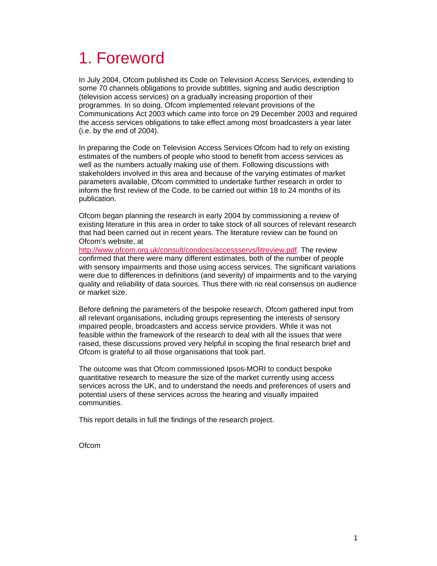# 1. Foreword

In July 2004, Ofcom published its Code on Television Access Services, extending to some 70 channels obligations to provide subtitles, signing and audio description (television access services) on a gradually increasing proportion of their programmes. In so doing, Ofcom implemented relevant provisions of the Communications Act 2003 which came into force on 29 December 2003 and required the access services obligations to take effect among most broadcasters a year later (i.e. by the end of 2004).

In preparing the Code on Television Access Services Ofcom had to rely on existing estimates of the numbers of people who stood to benefit from access services as well as the numbers actually making use of them. Following discussions with stakeholders involved in this area and because of the varying estimates of market parameters available, Ofcom committed to undertake further research in order to inform the first review of the Code, to be carried out within 18 to 24 months of its publication.

Ofcom began planning the research in early 2004 by commissioning a review of existing literature in this area in order to take stock of all sources of relevant research that had been carried out in recent years. The literature review can be found on Ofcom's website, at

http://www.ofcom.org.uk/consult/condocs/accessservs/litreview.pdf. The review confirmed that there were many different estimates, both of the number of people with sensory impairments and those using access services. The significant variations were due to differences in definitions (and severity) of impairments and to the varying quality and reliability of data sources. Thus there with no real consensus on audience or market size.

Before defining the parameters of the bespoke research, Ofcom gathered input from all relevant organisations, including groups representing the interests of sensory impaired people, broadcasters and access service providers. While it was not feasible within the framework of the research to deal with all the issues that were raised, these discussions proved very helpful in scoping the final research brief and Ofcom is grateful to all those organisations that took part.

The outcome was that Ofcom commissioned Ipsos-MORI to conduct bespoke quantitative research to measure the size of the market currently using access services across the UK, and to understand the needs and preferences of users and potential users of these services across the hearing and visually impaired communities.

This report details in full the findings of the research project.

**Ofcom**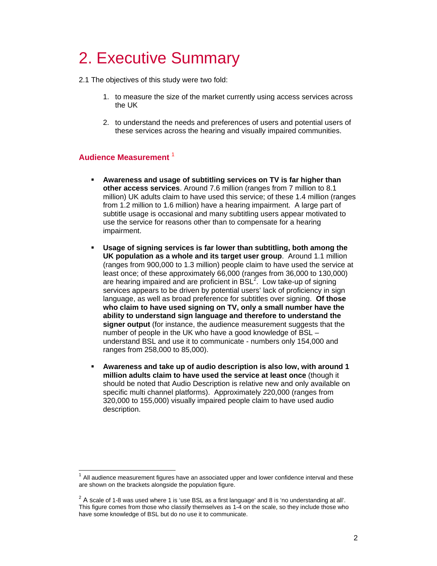# 2. Executive Summary

2.1 The objectives of this study were two fold:

- 1. to measure the size of the market currently using access services across the UK
- 2. to understand the needs and preferences of users and potential users of these services across the hearing and visually impaired communities.

# **Audience Measurement** <sup>1</sup>

 $\overline{a}$ 

- **Awareness and usage of subtitling services on TV is far higher than other access services**. Around 7.6 million (ranges from 7 million to 8.1 million) UK adults claim to have used this service; of these 1.4 million (ranges from 1.2 million to 1.6 million) have a hearing impairment. A large part of subtitle usage is occasional and many subtitling users appear motivated to use the service for reasons other than to compensate for a hearing impairment.
- **Usage of signing services is far lower than subtitling, both among the UK population as a whole and its target user group**. Around 1.1 million (ranges from 900,000 to 1.3 million) people claim to have used the service at least once; of these approximately 66,000 (ranges from 36,000 to 130,000) are hearing impaired and are proficient in  $BSL^2$ . Low take-up of signing services appears to be driven by potential users' lack of proficiency in sign language, as well as broad preference for subtitles over signing. **Of those who claim to have used signing on TV, only a small number have the ability to understand sign language and therefore to understand the signer output** (for instance, the audience measurement suggests that the number of people in the UK who have a good knowledge of BSL – understand BSL and use it to communicate - numbers only 154,000 and ranges from 258,000 to 85,000).
- **Awareness and take up of audio description is also low, with around 1 million adults claim to have used the service at least once** (though it should be noted that Audio Description is relative new and only available on specific multi channel platforms). Approximately 220,000 (ranges from 320,000 to 155,000) visually impaired people claim to have used audio description.

 $<sup>1</sup>$  All audience measurement figures have an associated upper and lower confidence interval and these</sup> are shown on the brackets alongside the population figure.

 $^2$  A scale of 1-8 was used where 1 is 'use BSL as a first language' and 8 is 'no understanding at all'. This figure comes from those who classify themselves as 1-4 on the scale, so they include those who have some knowledge of BSL but do no use it to communicate.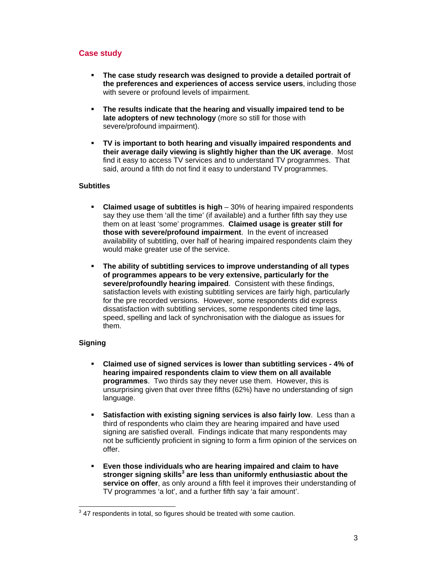# **Case study**

- **The case study research was designed to provide a detailed portrait of the preferences and experiences of access service users**, including those with severe or profound levels of impairment.
- **The results indicate that the hearing and visually impaired tend to be late adopters of new technology** (more so still for those with severe/profound impairment).
- **TV is important to both hearing and visually impaired respondents and their average daily viewing is slightly higher than the UK average**. Most find it easy to access TV services and to understand TV programmes. That said, around a fifth do not find it easy to understand TV programmes.

### **Subtitles**

- **Claimed usage of subtitles is high** 30% of hearing impaired respondents say they use them 'all the time' (if available) and a further fifth say they use them on at least 'some' programmes. **Claimed usage is greater still for those with severe/profound impairment**. In the event of increased availability of subtitling, over half of hearing impaired respondents claim they would make greater use of the service.
- **The ability of subtitling services to improve understanding of all types of programmes appears to be very extensive, particularly for the severe/profoundly hearing impaired**. Consistent with these findings, satisfaction levels with existing subtitling services are fairly high, particularly for the pre recorded versions. However, some respondents did express dissatisfaction with subtitling services, some respondents cited time lags, speed, spelling and lack of synchronisation with the dialogue as issues for them.

# **Signing**

- **Claimed use of signed services is lower than subtitling services 4% of hearing impaired respondents claim to view them on all available programmes**. Two thirds say they never use them. However, this is unsurprising given that over three fifths (62%) have no understanding of sign language.
- **Satisfaction with existing signing services is also fairly low**. Less than a third of respondents who claim they are hearing impaired and have used signing are satisfied overall. Findings indicate that many respondents may not be sufficiently proficient in signing to form a firm opinion of the services on offer.
- **Even those individuals who are hearing impaired and claim to have**  stronger signing skills<sup>3</sup> are less than uniformly enthusiastic about the **service on offer**, as only around a fifth feel it improves their understanding of TV programmes 'a lot', and a further fifth say 'a fair amount'.

 $\overline{a}$  $3$  47 respondents in total, so figures should be treated with some caution.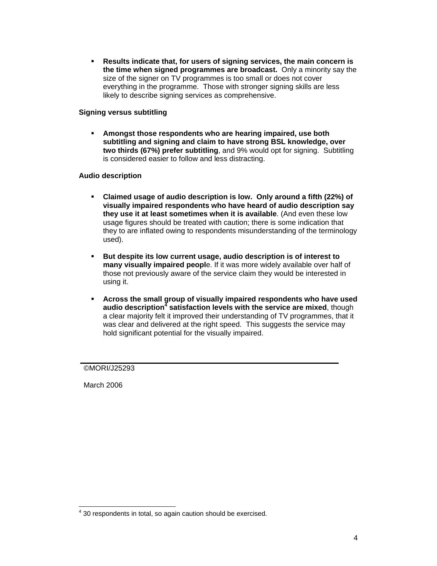**Results indicate that, for users of signing services, the main concern is the time when signed programmes are broadcast.** Only a minority say the size of the signer on TV programmes is too small or does not cover everything in the programme. Those with stronger signing skills are less likely to describe signing services as comprehensive.

### **Signing versus subtitling**

 **Amongst those respondents who are hearing impaired, use both subtitling and signing and claim to have strong BSL knowledge, over two thirds (67%) prefer subtitling**, and 9% would opt for signing. Subtitling is considered easier to follow and less distracting.

### **Audio description**

- **Claimed usage of audio description is low. Only around a fifth (22%) of visually impaired respondents who have heard of audio description say they use it at least sometimes when it is available**. (And even these low usage figures should be treated with caution; there is some indication that they to are inflated owing to respondents misunderstanding of the terminology used).
- **But despite its low current usage, audio description is of interest to many visually impaired peopl**e. If it was more widely available over half of those not previously aware of the service claim they would be interested in using it.
- **Across the small group of visually impaired respondents who have used audio description<sup>4</sup> satisfaction levels with the service are mixed**, though a clear majority felt it improved their understanding of TV programmes, that it was clear and delivered at the right speed. This suggests the service may hold significant potential for the visually impaired.

### ©MORI/J25293

March 2006

 $\overline{a}$ 

<sup>&</sup>lt;sup>4</sup> 30 respondents in total, so again caution should be exercised.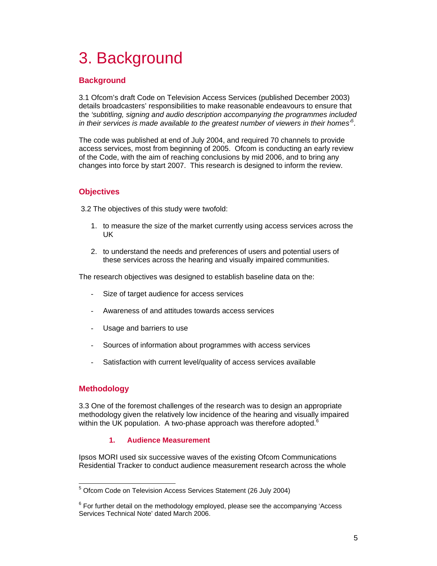# 3. Background

# **Background**

3.1 Ofcom's draft Code on Television Access Services (published December 2003) details broadcasters' responsibilities to make reasonable endeavours to ensure that the *'subtitling, signing and audio description accompanying the programmes included in their services is made available to the greatest number of viewers in their homes'5* .

The code was published at end of July 2004, and required 70 channels to provide access services, most from beginning of 2005. Ofcom is conducting an early review of the Code, with the aim of reaching conclusions by mid 2006, and to bring any changes into force by start 2007. This research is designed to inform the review.

# **Objectives**

3.2 The objectives of this study were twofold:

- 1. to measure the size of the market currently using access services across the UK
- 2. to understand the needs and preferences of users and potential users of these services across the hearing and visually impaired communities.

The research objectives was designed to establish baseline data on the:

- Size of target audience for access services
- Awareness of and attitudes towards access services
- Usage and barriers to use
- Sources of information about programmes with access services
- Satisfaction with current level/quality of access services available

# **Methodology**

3.3 One of the foremost challenges of the research was to design an appropriate methodology given the relatively low incidence of the hearing and visually impaired within the UK population. A two-phase approach was therefore adopted.<sup>6</sup>

# **1. Audience Measurement**

Ipsos MORI used six successive waves of the existing Ofcom Communications Residential Tracker to conduct audience measurement research across the whole

 5 Ofcom Code on Television Access Services Statement (26 July 2004)

 $6$  For further detail on the methodology employed, please see the accompanying 'Access Services Technical Note' dated March 2006.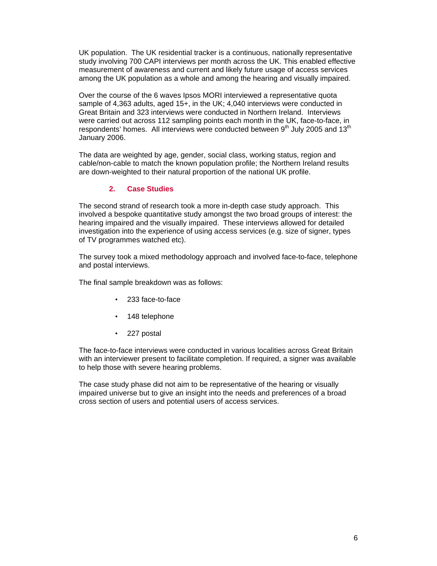UK population. The UK residential tracker is a continuous, nationally representative study involving 700 CAPI interviews per month across the UK. This enabled effective measurement of awareness and current and likely future usage of access services among the UK population as a whole and among the hearing and visually impaired.

Over the course of the 6 waves Ipsos MORI interviewed a representative quota sample of 4,363 adults, aged 15+, in the UK; 4,040 interviews were conducted in Great Britain and 323 interviews were conducted in Northern Ireland. Interviews were carried out across 112 sampling points each month in the UK, face-to-face, in respondents' homes. All interviews were conducted between  $9<sup>th</sup>$  July 2005 and 13<sup>th</sup> January 2006.

The data are weighted by age, gender, social class, working status, region and cable/non-cable to match the known population profile; the Northern Ireland results are down-weighted to their natural proportion of the national UK profile.

### **2. Case Studies**

The second strand of research took a more in-depth case study approach. This involved a bespoke quantitative study amongst the two broad groups of interest: the hearing impaired and the visually impaired. These interviews allowed for detailed investigation into the experience of using access services (e.g. size of signer, types of TV programmes watched etc).

The survey took a mixed methodology approach and involved face-to-face, telephone and postal interviews.

The final sample breakdown was as follows:

- 233 face-to-face
- 148 telephone
- 227 postal

The face-to-face interviews were conducted in various localities across Great Britain with an interviewer present to facilitate completion. If required, a signer was available to help those with severe hearing problems.

The case study phase did not aim to be representative of the hearing or visually impaired universe but to give an insight into the needs and preferences of a broad cross section of users and potential users of access services.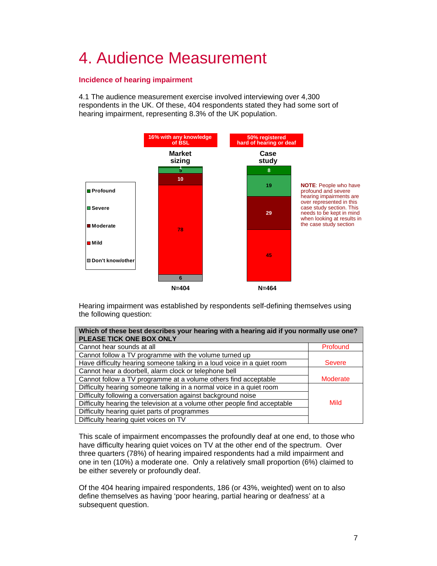# 4. Audience Measurement

# **Incidence of hearing impairment**

4.1 The audience measurement exercise involved interviewing over 4,300 respondents in the UK. Of these, 404 respondents stated they had some sort of hearing impairment, representing 8.3% of the UK population.



Hearing impairment was established by respondents self-defining themselves using the following question:

| Which of these best describes your hearing with a hearing aid if you normally use one?<br>PLEASE TICK ONE BOX ONLY |                 |
|--------------------------------------------------------------------------------------------------------------------|-----------------|
| Cannot hear sounds at all                                                                                          | Profound        |
| Cannot follow a TV programme with the volume turned up                                                             |                 |
| Have difficulty hearing someone talking in a loud voice in a quiet room                                            | <b>Severe</b>   |
| Cannot hear a doorbell, alarm clock or telephone bell                                                              |                 |
| Cannot follow a TV programme at a volume others find acceptable                                                    | <b>Moderate</b> |
| Difficulty hearing someone talking in a normal voice in a quiet room                                               |                 |
| Difficulty following a conversation against background noise                                                       |                 |
| Difficulty hearing the television at a volume other people find acceptable                                         | Mild            |
| Difficulty hearing quiet parts of programmes                                                                       |                 |
| Difficulty hearing quiet voices on TV                                                                              |                 |

This scale of impairment encompasses the profoundly deaf at one end, to those who have difficulty hearing quiet voices on TV at the other end of the spectrum. Over three quarters (78%) of hearing impaired respondents had a mild impairment and one in ten (10%) a moderate one. Only a relatively small proportion (6%) claimed to be either severely or profoundly deaf.

Of the 404 hearing impaired respondents, 186 (or 43%, weighted) went on to also define themselves as having 'poor hearing, partial hearing or deafness' at a subsequent question.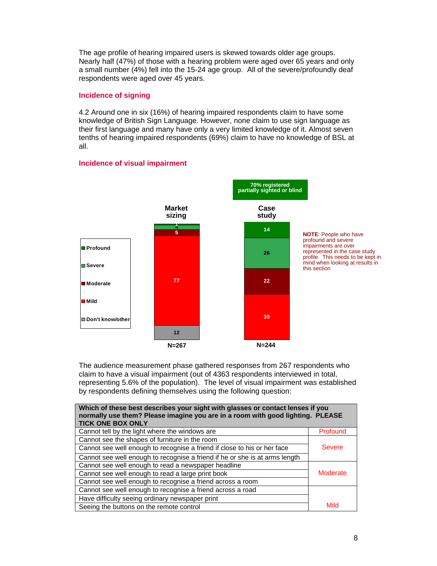The age profile of hearing impaired users is skewed towards older age groups. Nearly half (47%) of those with a hearing problem were aged over 65 years and only a small number (4%) fell into the 15-24 age group. All of the severe/profoundly deaf respondents were aged over 45 years.

### **Incidence of signing**

4.2 Around one in six (16%) of hearing impaired respondents claim to have some knowledge of British Sign Language. However, none claim to use sign language as their first language and many have only a very limited knowledge of it. Almost seven tenths of hearing impaired respondents (69%) claim to have no knowledge of BSL at all.

# **Incidence of visual impairment**



The audience measurement phase gathered responses from 267 respondents who claim to have a visual impairment (out of 4363 respondents interviewed in total, representing 5.6% of the population). The level of visual impairment was established by respondents defining themselves using the following question:

| Which of these best describes your sight with glasses or contact lenses if you<br>normally use them? Please imagine you are in a room with good lighting. PLEASE<br><b>TICK ONE BOX ONLY</b> |               |
|----------------------------------------------------------------------------------------------------------------------------------------------------------------------------------------------|---------------|
| Cannot tell by the light where the windows are                                                                                                                                               | Profound      |
| Cannot see the shapes of furniture in the room                                                                                                                                               |               |
| Cannot see well enough to recognise a friend if close to his or her face                                                                                                                     | <b>Severe</b> |
| Cannot see well enough to recognise a friend if he or she is at arms length                                                                                                                  |               |
| Cannot see well enough to read a newspaper headline                                                                                                                                          |               |
| Cannot see well enough to read a large print book                                                                                                                                            | Moderate      |
| Cannot see well enough to recognise a friend across a room                                                                                                                                   |               |
| Cannot see well enough to recognise a friend across a road                                                                                                                                   |               |
| Have difficulty seeing ordinary newspaper print                                                                                                                                              |               |
| Seeing the buttons on the remote control                                                                                                                                                     | Mild          |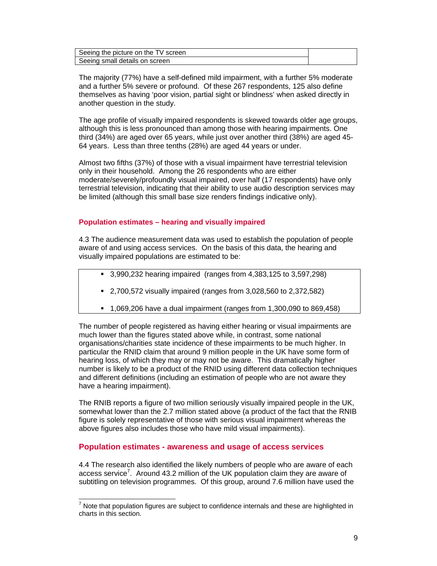| Seeing the picture on the TV screen |  |
|-------------------------------------|--|
| Seeing small details on screen      |  |

The majority (77%) have a self-defined mild impairment, with a further 5% moderate and a further 5% severe or profound. Of these 267 respondents, 125 also define themselves as having 'poor vision, partial sight or blindness' when asked directly in another question in the study.

The age profile of visually impaired respondents is skewed towards older age groups, although this is less pronounced than among those with hearing impairments. One third (34%) are aged over 65 years, while just over another third (38%) are aged 45- 64 years. Less than three tenths (28%) are aged 44 years or under.

Almost two fifths (37%) of those with a visual impairment have terrestrial television only in their household. Among the 26 respondents who are either moderate/severely/profoundly visual impaired, over half (17 respondents) have only terrestrial television, indicating that their ability to use audio description services may be limited (although this small base size renders findings indicative only).

### **Population estimates – hearing and visually impaired**

4.3 The audience measurement data was used to establish the population of people aware of and using access services. On the basis of this data, the hearing and visually impaired populations are estimated to be:

- 3,990,232 hearing impaired (ranges from 4,383,125 to 3,597,298)
- 2,700,572 visually impaired (ranges from 3,028,560 to 2,372,582)
- $1,069,206$  have a dual impairment (ranges from 1,300,090 to 869,458)

The number of people registered as having either hearing or visual impairments are much lower than the figures stated above while, in contrast, some national organisations/charities state incidence of these impairments to be much higher. In particular the RNID claim that around 9 million people in the UK have some form of hearing loss, of which they may or may not be aware. This dramatically higher number is likely to be a product of the RNID using different data collection techniques and different definitions (including an estimation of people who are not aware they have a hearing impairment).

The RNIB reports a figure of two million seriously visually impaired people in the UK, somewhat lower than the 2.7 million stated above (a product of the fact that the RNIB figure is solely representative of those with serious visual impairment whereas the above figures also includes those who have mild visual impairments).

# **Population estimates - awareness and usage of access services**

 $\overline{a}$ 

4.4 The research also identified the likely numbers of people who are aware of each access service<sup>7</sup>. Around 43.2 million of the UK population claim they are aware of subtitling on television programmes. Of this group, around 7.6 million have used the

<sup>7</sup> Note that population figures are subject to confidence internals and these are highlighted in charts in this section.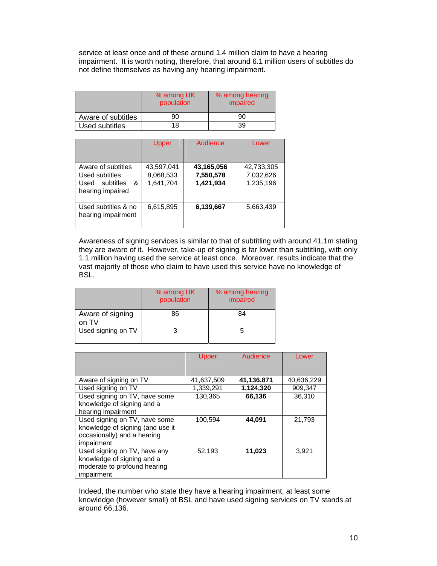service at least once and of these around 1.4 million claim to have a hearing impairment. It is worth noting, therefore, that around 6.1 million users of subtitles do not define themselves as having any hearing impairment.

|                    | % among UK<br>population | % among hearing<br>impaired |  |
|--------------------|--------------------------|-----------------------------|--|
| Aware of subtitles | 90                       | 90                          |  |
| Used subtitles     | 18                       | 39                          |  |

|                                           | Upper      | Audience   | Lower      |
|-------------------------------------------|------------|------------|------------|
| Aware of subtitles                        | 43,597,041 | 43,165,056 | 42,733,305 |
| Used subtitles                            | 8,068,533  | 7,550,578  | 7,032,626  |
| &<br>Used subtitles<br>hearing impaired   | 1,641,704  | 1,421,934  | 1,235,196  |
| Used subtitles & no<br>hearing impairment | 6,615,895  | 6,139,667  | 5,663,439  |

Awareness of signing services is similar to that of subtitling with around 41.1m stating they are aware of it. However, take-up of signing is far lower than subtitling, with only 1.1 million having used the service at least once. Moreover, results indicate that the vast majority of those who claim to have used this service have no knowledge of BSL.

|                           | % among UK<br>population | % among hearing<br>impaired |
|---------------------------|--------------------------|-----------------------------|
| Aware of signing<br>on TV | 86                       | 84                          |
| Used signing on TV        |                          |                             |

|                                  | <b>Upper</b> | Audience   | Lower      |
|----------------------------------|--------------|------------|------------|
|                                  |              |            |            |
| Aware of signing on TV           | 41,637,509   | 41,136,871 | 40,636,229 |
| Used signing on TV               | 1,339,291    | 1,124,320  | 909,347    |
| Used signing on TV, have some    | 130,365      | 66,136     | 36,310     |
| knowledge of signing and a       |              |            |            |
| hearing impairment               |              |            |            |
| Used signing on TV, have some    | 100,594      | 44,091     | 21,793     |
| knowledge of signing (and use it |              |            |            |
| occasionally) and a hearing      |              |            |            |
| impairment                       |              |            |            |
| Used signing on TV, have any     | 52,193       | 11,023     | 3,921      |
| knowledge of signing and a       |              |            |            |
| moderate to profound hearing     |              |            |            |
| impairment                       |              |            |            |

Indeed, the number who state they have a hearing impairment, at least some knowledge (however small) of BSL and have used signing services on TV stands at around 66,136.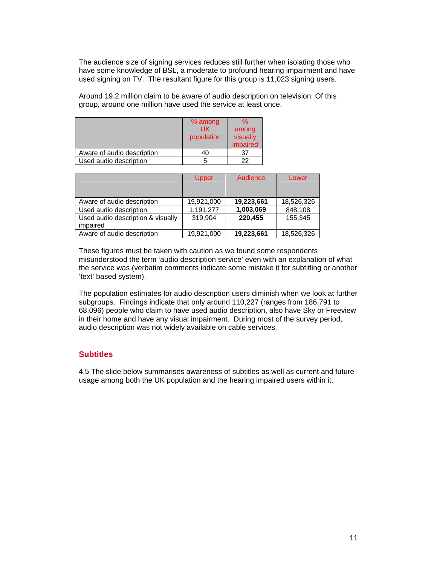The audience size of signing services reduces still further when isolating those who have some knowledge of BSL, a moderate to profound hearing impairment and have used signing on TV. The resultant figure for this group is 11,023 signing users.

Around 19.2 million claim to be aware of audio description on television. Of this group, around one million have used the service at least once.

|                            | % among<br>UK<br>population | ℅<br>among<br>visually<br>impaired |
|----------------------------|-----------------------------|------------------------------------|
| Aware of audio description |                             |                                    |
| Used audio description     |                             |                                    |

|                                   | Upper      | Audience   | Lower      |
|-----------------------------------|------------|------------|------------|
|                                   |            |            |            |
|                                   |            |            |            |
| Aware of audio description        | 19,921,000 | 19,223,661 | 18,526,326 |
| Used audio description            | 1,191,277  | 1,003,069  | 848,108    |
| Used audio description & visually | 319.904    | 220,455    | 155.345    |
| impaired                          |            |            |            |
| Aware of audio description        | 19,921,000 | 19,223,661 | 18,526,326 |

These figures must be taken with caution as we found some respondents misunderstood the term 'audio description service' even with an explanation of what the service was (verbatim comments indicate some mistake it for subtitling or another 'text' based system).

The population estimates for audio description users diminish when we look at further subgroups. Findings indicate that only around 110,227 (ranges from 186,791 to 68,096) people who claim to have used audio description, also have Sky or Freeview in their home and have any visual impairment. During most of the survey period, audio description was not widely available on cable services.

# **Subtitles**

4.5 The slide below summarises awareness of subtitles as well as current and future usage among both the UK population and the hearing impaired users within it.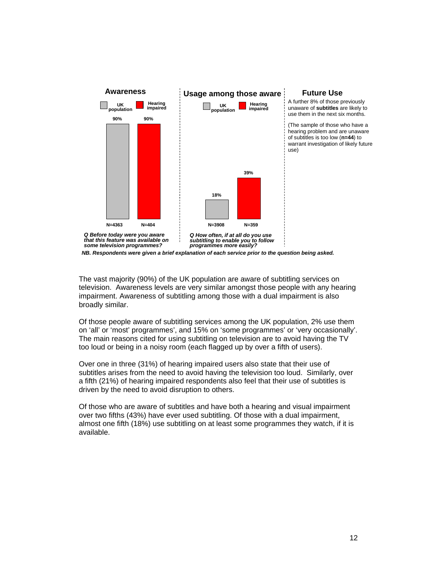

The vast majority (90%) of the UK population are aware of subtitling services on television. Awareness levels are very similar amongst those people with any hearing impairment. Awareness of subtitling among those with a dual impairment is also broadly similar.

Of those people aware of subtitling services among the UK population, 2% use them on 'all' or 'most' programmes', and 15% on 'some programmes' or 'very occasionally'. The main reasons cited for using subtitling on television are to avoid having the TV too loud or being in a noisy room (each flagged up by over a fifth of users).

Over one in three (31%) of hearing impaired users also state that their use of subtitles arises from the need to avoid having the television too loud. Similarly, over a fifth (21%) of hearing impaired respondents also feel that their use of subtitles is driven by the need to avoid disruption to others.

Of those who are aware of subtitles and have both a hearing and visual impairment over two fifths (43%) have ever used subtitling. Of those with a dual impairment, almost one fifth (18%) use subtitling on at least some programmes they watch, if it is available.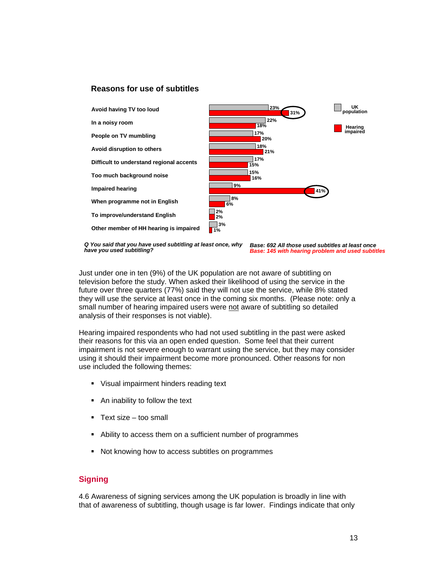# **Reasons for use of subtitles**



*Base: 692 All those used subtitles at least once Base: 145 with hearing problem and used subtitles Q You said that you have used subtitling at least once, why have you used subtitling?* 

Just under one in ten (9%) of the UK population are not aware of subtitling on television before the study. When asked their likelihood of using the service in the future over three quarters (77%) said they will not use the service, while 8% stated they will use the service at least once in the coming six months. (Please note: only a small number of hearing impaired users were not aware of subtitling so detailed analysis of their responses is not viable).

Hearing impaired respondents who had not used subtitling in the past were asked their reasons for this via an open ended question. Some feel that their current impairment is not severe enough to warrant using the service, but they may consider using it should their impairment become more pronounced. Other reasons for non use included the following themes:

- Visual impairment hinders reading text
- An inability to follow the text
- Text size too small
- Ability to access them on a sufficient number of programmes
- Not knowing how to access subtitles on programmes

# **Signing**

4.6 Awareness of signing services among the UK population is broadly in line with that of awareness of subtitling, though usage is far lower. Findings indicate that only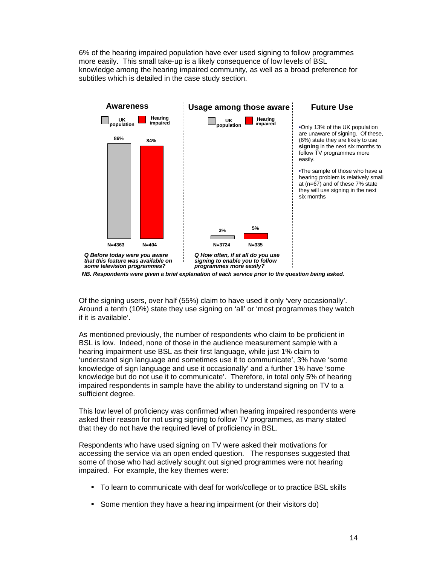6% of the hearing impaired population have ever used signing to follow programmes more easily. This small take-up is a likely consequence of low levels of BSL knowledge among the hearing impaired community, as well as a broad preference for subtitles which is detailed in the case study section.



*NB. Respondents were given a brief explanation of each service prior to the question being asked.*

Of the signing users, over half (55%) claim to have used it only 'very occasionally'. Around a tenth (10%) state they use signing on 'all' or 'most programmes they watch if it is available'.

As mentioned previously, the number of respondents who claim to be proficient in BSL is low. Indeed, none of those in the audience measurement sample with a hearing impairment use BSL as their first language, while just 1% claim to 'understand sign language and sometimes use it to communicate', 3% have 'some knowledge of sign language and use it occasionally' and a further 1% have 'some knowledge but do not use it to communicate'. Therefore, in total only 5% of hearing impaired respondents in sample have the ability to understand signing on TV to a sufficient degree.

This low level of proficiency was confirmed when hearing impaired respondents were asked their reason for not using signing to follow TV programmes, as many stated that they do not have the required level of proficiency in BSL.

Respondents who have used signing on TV were asked their motivations for accessing the service via an open ended question. The responses suggested that some of those who had actively sought out signed programmes were not hearing impaired. For example, the key themes were:

- To learn to communicate with deaf for work/college or to practice BSL skills
- Some mention they have a hearing impairment (or their visitors do)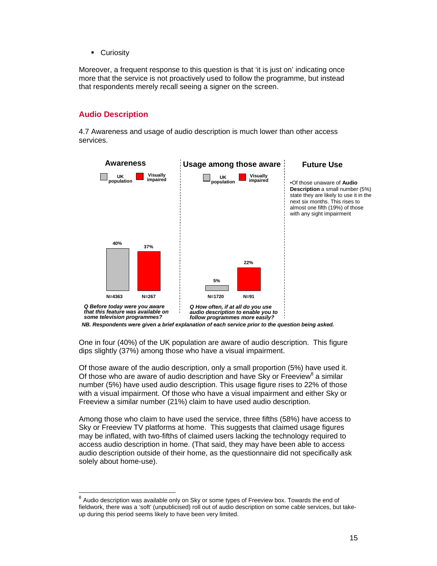**Curiosity** 

Moreover, a frequent response to this question is that 'it is just on' indicating once more that the service is not proactively used to follow the programme, but instead that respondents merely recall seeing a signer on the screen.

# **Audio Description**

 $\overline{a}$ 

4.7 Awareness and usage of audio description is much lower than other access services.



*NB. Respondents were given a brief explanation of each service prior to the question being asked.*

One in four (40%) of the UK population are aware of audio description. This figure dips slightly (37%) among those who have a visual impairment.

Of those aware of the audio description, only a small proportion (5%) have used it. Of those who are aware of audio description and have Sky or Freeview $^8$  a similar number (5%) have used audio description. This usage figure rises to 22% of those with a visual impairment. Of those who have a visual impairment and either Sky or Freeview a similar number (21%) claim to have used audio description.

Among those who claim to have used the service, three fifths (58%) have access to Sky or Freeview TV platforms at home. This suggests that claimed usage figures may be inflated, with two-fifths of claimed users lacking the technology required to access audio description in home. (That said, they may have been able to access audio description outside of their home, as the questionnaire did not specifically ask solely about home-use).

 $^8$  Audio description was available only on Sky or some types of Freeview box. Towards the end of fieldwork, there was a 'soft' (unpublicised) roll out of audio description on some cable services, but takeup during this period seems likely to have been very limited.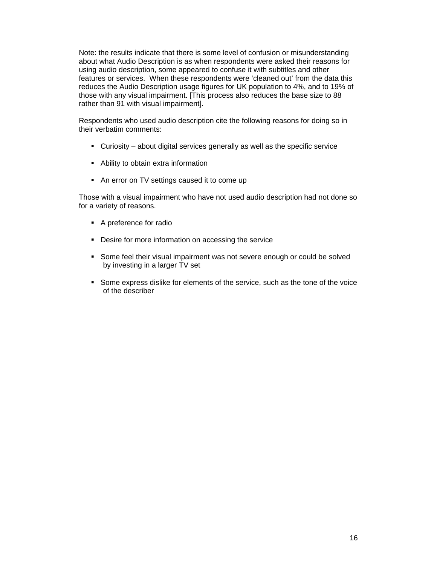Note: the results indicate that there is some level of confusion or misunderstanding about what Audio Description is as when respondents were asked their reasons for using audio description, some appeared to confuse it with subtitles and other features or services. When these respondents were 'cleaned out' from the data this reduces the Audio Description usage figures for UK population to 4%, and to 19% of those with any visual impairment. [This process also reduces the base size to 88 rather than 91 with visual impairment].

Respondents who used audio description cite the following reasons for doing so in their verbatim comments:

- Curiosity about digital services generally as well as the specific service
- Ability to obtain extra information
- An error on TV settings caused it to come up

Those with a visual impairment who have not used audio description had not done so for a variety of reasons.

- A preference for radio
- **Desire for more information on accessing the service**
- Some feel their visual impairment was not severe enough or could be solved by investing in a larger TV set
- Some express dislike for elements of the service, such as the tone of the voice of the describer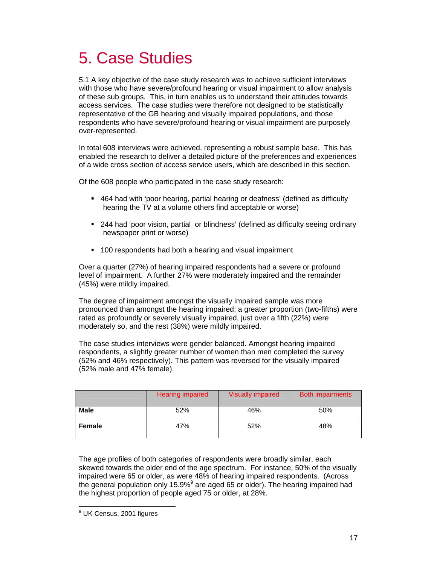# 5. Case Studies

5.1 A key objective of the case study research was to achieve sufficient interviews with those who have severe/profound hearing or visual impairment to allow analysis of these sub groups. This, in turn enables us to understand their attitudes towards access services. The case studies were therefore not designed to be statistically representative of the GB hearing and visually impaired populations, and those respondents who have severe/profound hearing or visual impairment are purposely over-represented.

In total 608 interviews were achieved, representing a robust sample base. This has enabled the research to deliver a detailed picture of the preferences and experiences of a wide cross section of access service users, which are described in this section.

Of the 608 people who participated in the case study research:

- 464 had with 'poor hearing, partial hearing or deafness' (defined as difficulty hearing the TV at a volume others find acceptable or worse)
- 244 had 'poor vision, partial or blindness' (defined as difficulty seeing ordinary newspaper print or worse)
- 100 respondents had both a hearing and visual impairment

Over a quarter (27%) of hearing impaired respondents had a severe or profound level of impairment. A further 27% were moderately impaired and the remainder (45%) were mildly impaired.

The degree of impairment amongst the visually impaired sample was more pronounced than amongst the hearing impaired; a greater proportion (two-fifths) were rated as profoundly or severely visually impaired, just over a fifth (22%) were moderately so, and the rest (38%) were mildly impaired.

The case studies interviews were gender balanced. Amongst hearing impaired respondents, a slightly greater number of women than men completed the survey (52% and 46% respectively). This pattern was reversed for the visually impaired (52% male and 47% female).

|             | Hearing impaired | <b>Visually impaired</b> | <b>Both impairments</b> |
|-------------|------------------|--------------------------|-------------------------|
| <b>Male</b> | 52%              | 46%                      | 50%                     |
| Female      | 47%              | 52%                      | 48%                     |

The age profiles of both categories of respondents were broadly similar, each skewed towards the older end of the age spectrum. For instance, 50% of the visually impaired were 65 or older, as were 48% of hearing impaired respondents. (Across the general population only 15.9%<sup>9</sup> are aged 65 or older). The hearing impaired had the highest proportion of people aged 75 or older, at 28%.

 $\overline{a}$ <sup>9</sup> UK Census, 2001 figures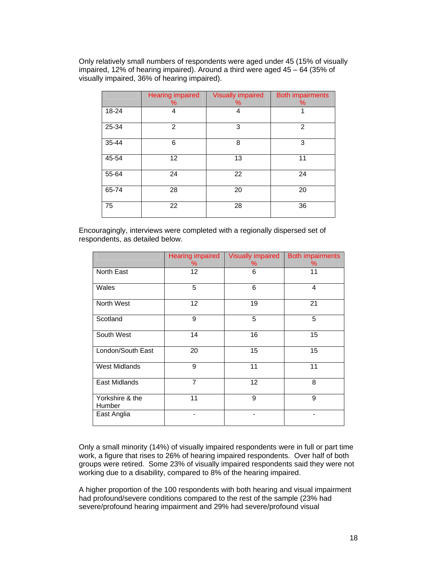Only relatively small numbers of respondents were aged under 45 (15% of visually impaired, 12% of hearing impaired). Around a third were aged 45 – 64 (35% of visually impaired, 36% of hearing impaired).

|       | <b>Hearing impaired</b><br>℅ | <b>Visually impaired</b><br>℅ | <b>Both impairments</b><br>℅ |
|-------|------------------------------|-------------------------------|------------------------------|
| 18-24 | 4                            | 4                             | 1                            |
| 25-34 | 2                            | 3                             | 2                            |
| 35-44 | 6                            | 8                             | 3                            |
| 45-54 | 12                           | 13                            | 11                           |
| 55-64 | 24                           | 22                            | 24                           |
| 65-74 | 28                           | 20                            | 20                           |
| 75    | 22                           | 28                            | 36                           |

Encouragingly, interviews were completed with a regionally dispersed set of respondents, as detailed below.

|                           | <b>Hearing impaired</b><br>℅ | <b>Visually impaired</b><br>℅ | <b>Both impairments</b><br>℅ |
|---------------------------|------------------------------|-------------------------------|------------------------------|
| North East                | 12                           | 6                             | 11                           |
| Wales                     | 5                            | 6                             | 4                            |
| North West                | 12                           | 19                            | 21                           |
| Scotland                  | 9                            | 5                             | 5                            |
| South West                | 14                           | 16                            | 15                           |
| London/South East         | 20                           | $\overline{15}$               | 15                           |
| <b>West Midlands</b>      | 9                            | 11                            | 11                           |
| East Midlands             | $\overline{7}$               | 12                            | 8                            |
| Yorkshire & the<br>Humber | 11                           | 9                             | 9                            |
| East Anglia               |                              |                               |                              |

Only a small minority (14%) of visually impaired respondents were in full or part time work, a figure that rises to 26% of hearing impaired respondents. Over half of both groups were retired. Some 23% of visually impaired respondents said they were not working due to a disability, compared to 8% of the hearing impaired.

A higher proportion of the 100 respondents with both hearing and visual impairment had profound/severe conditions compared to the rest of the sample (23% had severe/profound hearing impairment and 29% had severe/profound visual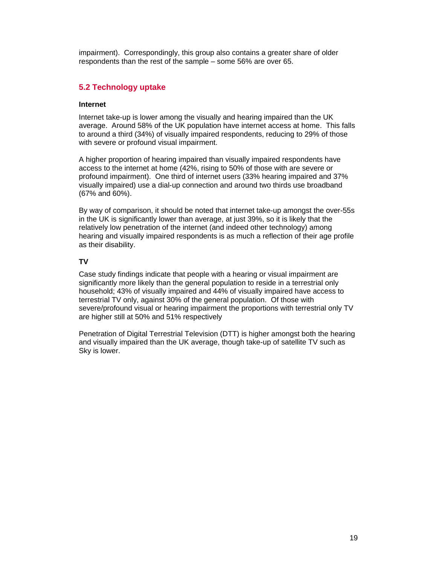impairment). Correspondingly, this group also contains a greater share of older respondents than the rest of the sample – some 56% are over 65.

# **5.2 Technology uptake**

### **Internet**

Internet take-up is lower among the visually and hearing impaired than the UK average. Around 58% of the UK population have internet access at home. This falls to around a third (34%) of visually impaired respondents, reducing to 29% of those with severe or profound visual impairment.

A higher proportion of hearing impaired than visually impaired respondents have access to the internet at home (42%, rising to 50% of those with are severe or profound impairment). One third of internet users (33% hearing impaired and 37% visually impaired) use a dial-up connection and around two thirds use broadband (67% and 60%).

By way of comparison, it should be noted that internet take-up amongst the over-55s in the UK is significantly lower than average, at just 39%, so it is likely that the relatively low penetration of the internet (and indeed other technology) among hearing and visually impaired respondents is as much a reflection of their age profile as their disability.

# **TV**

Case study findings indicate that people with a hearing or visual impairment are significantly more likely than the general population to reside in a terrestrial only household; 43% of visually impaired and 44% of visually impaired have access to terrestrial TV only, against 30% of the general population. Of those with severe/profound visual or hearing impairment the proportions with terrestrial only TV are higher still at 50% and 51% respectively

Penetration of Digital Terrestrial Television (DTT) is higher amongst both the hearing and visually impaired than the UK average, though take-up of satellite TV such as Sky is lower.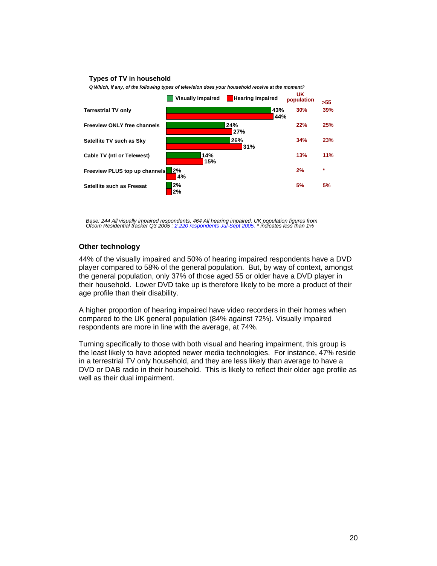#### **Types of TV in household**



*Q Which, if any, of the following types of television does your household receive at the moment?*

*Base: 244 All visually impaired respondents, 464 All hearing impaired, UK population figures from Ofcom Residential tracker Q3 2005 : 2,220 respondents Jul-Sept 2005. \* indicates less than 1%* 

### **Other technology**

44% of the visually impaired and 50% of hearing impaired respondents have a DVD player compared to 58% of the general population. But, by way of context, amongst the general population, only 37% of those aged 55 or older have a DVD player in their household. Lower DVD take up is therefore likely to be more a product of their age profile than their disability.

A higher proportion of hearing impaired have video recorders in their homes when compared to the UK general population (84% against 72%). Visually impaired respondents are more in line with the average, at 74%.

Turning specifically to those with both visual and hearing impairment, this group is the least likely to have adopted newer media technologies. For instance, 47% reside in a terrestrial TV only household, and they are less likely than average to have a DVD or DAB radio in their household. This is likely to reflect their older age profile as well as their dual impairment.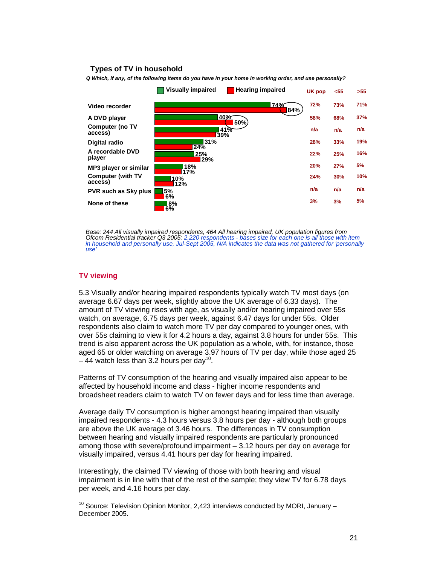# **have a CCR and DVD** the bounded **impair TV in household**

*Q Which, if any, of the following items do you have in your home in working order, and use personally?* 



*Base: 244 All visually impaired respondents, 464 All hearing impaired, UK population figures from Ofcom Residential tracker Q3 2005: 2,220 respondents - bases size for each one is all those with item in household and personally use, Jul-Sept 2005, N/A indicates the data was not gathered for 'personally use'* 

#### **TV viewing**

 $\overline{a}$ 

5.3 Visually and/or hearing impaired respondents typically watch TV most days (on average 6.67 days per week, slightly above the UK average of 6.33 days). The amount of TV viewing rises with age, as visually and/or hearing impaired over 55s watch, on average, 6.75 days per week, against 6.47 days for under 55s. Older respondents also claim to watch more TV per day compared to younger ones, with over 55s claiming to view it for 4.2 hours a day, against 3.8 hours for under 55s. This trend is also apparent across the UK population as a whole, with, for instance, those aged 65 or older watching on average 3.97 hours of TV per day, while those aged 25  $-$  44 watch less than 3.2 hours per day<sup>10</sup>.

Patterns of TV consumption of the hearing and visually impaired also appear to be affected by household income and class - higher income respondents and broadsheet readers claim to watch TV on fewer days and for less time than average.

Average daily TV consumption is higher amongst hearing impaired than visually impaired respondents - 4.3 hours versus 3.8 hours per day - although both groups are above the UK average of 3.46 hours. The differences in TV consumption between hearing and visually impaired respondents are particularly pronounced among those with severe/profound impairment – 3.12 hours per day on average for visually impaired, versus 4.41 hours per day for hearing impaired.

Interestingly, the claimed TV viewing of those with both hearing and visual impairment is in line with that of the rest of the sample; they view TV for 6.78 days per week, and 4.16 hours per day.

 $10$  Source: Television Opinion Monitor, 2,423 interviews conducted by MORI, January  $-$ December 2005.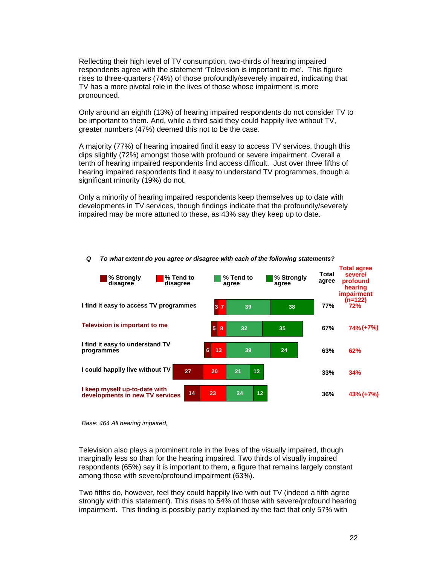Reflecting their high level of TV consumption, two-thirds of hearing impaired respondents agree with the statement 'Television is important to me'. This figure rises to three-quarters (74%) of those profoundly/severely impaired, indicating that TV has a more pivotal role in the lives of those whose impairment is more pronounced.

Only around an eighth (13%) of hearing impaired respondents do not consider TV to be important to them. And, while a third said they could happily live without TV, greater numbers (47%) deemed this not to be the case.

A majority (77%) of hearing impaired find it easy to access TV services, though this dips slightly (72%) amongst those with profound or severe impairment. Overall a tenth of hearing impaired respondents find access difficult. Just over three fifths of hearing impaired respondents find it easy to understand TV programmes, though a significant minority (19%) do not.

Only a minority of hearing impaired respondents keep themselves up to date with developments in TV services, though findings indicate that the profoundly/severely impaired may be more attuned to these, as 43% say they keep up to date.



# *Q To what extent do you agree or disagree with each of the following statements?*

*Base: 464 All hearing impaired,* 

Television also plays a prominent role in the lives of the visually impaired, though marginally less so than for the hearing impaired. Two thirds of visually impaired respondents (65%) say it is important to them, a figure that remains largely constant among those with severe/profound impairment (63%).

Two fifths do, however, feel they could happily live with out TV (indeed a fifth agree strongly with this statement). This rises to 54% of those with severe/profound hearing impairment. This finding is possibly partly explained by the fact that only 57% with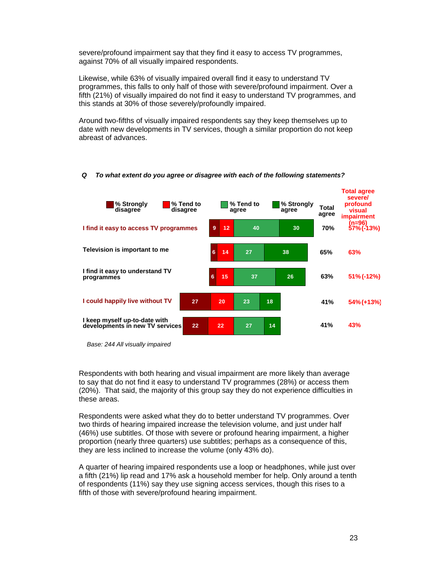severe/profound impairment say that they find it easy to access TV programmes, against 70% of all visually impaired respondents.

Likewise, while 63% of visually impaired overall find it easy to understand TV programmes, this falls to only half of those with severe/profound impairment. Over a fifth (21%) of visually impaired do not find it easy to understand TV programmes, and this stands at 30% of those severely/profoundly impaired.

Around two-fifths of visually impaired respondents say they keep themselves up to date with new developments in TV services, though a similar proportion do not keep abreast of advances.



#### *Q To what extent do you agree or disagree with each of the following statements?*

Respondents with both hearing and visual impairment are more likely than average to say that do not find it easy to understand TV programmes (28%) or access them (20%). That said, the majority of this group say they do not experience difficulties in these areas.

Respondents were asked what they do to better understand TV programmes. Over two thirds of hearing impaired increase the television volume, and just under half (46%) use subtitles. Of those with severe or profound hearing impairment, a higher proportion (nearly three quarters) use subtitles; perhaps as a consequence of this, they are less inclined to increase the volume (only 43% do).

A quarter of hearing impaired respondents use a loop or headphones, while just over a fifth (21%) lip read and 17% ask a household member for help. Only around a tenth of respondents (11%) say they use signing access services, though this rises to a fifth of those with severe/profound hearing impairment.

*Base: 244 All visually impaired*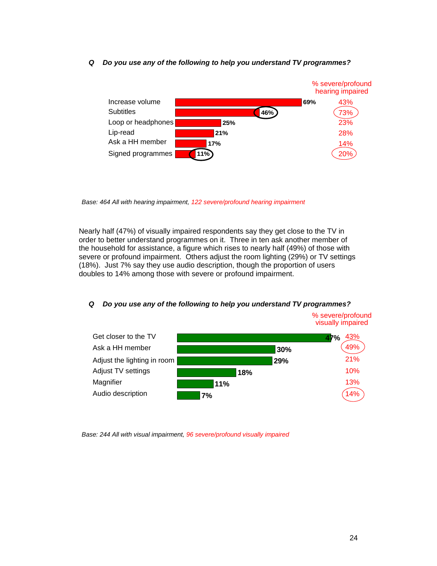### *Q Do you use any of the following to help you understand TV programmes?*



*Base: 464 All with hearing impairment, 122 severe/profound hearing impairment*

Nearly half (47%) of visually impaired respondents say they get close to the TV in order to better understand programmes on it. Three in ten ask another member of the household for assistance, a figure which rises to nearly half (49%) of those with severe or profound impairment. Others adjust the room lighting (29%) or TV settings (18%). Just 7% say they use audio description, though the proportion of users doubles to 14% among those with severe or profound impairment.

#### **47% 30% 29% 18% 11% 7%** Get closer to the TV **Magnifier** Ask a HH member Adjust the lighting in room Adjust TV settings Audio description 43% 49% 21% 10% 13% 14% % severe/profound visually impaired

*Q Do you use any of the following to help you understand TV programmes?*

*Base: 244 All with visual impairment, 96 severe/profound visually impaired*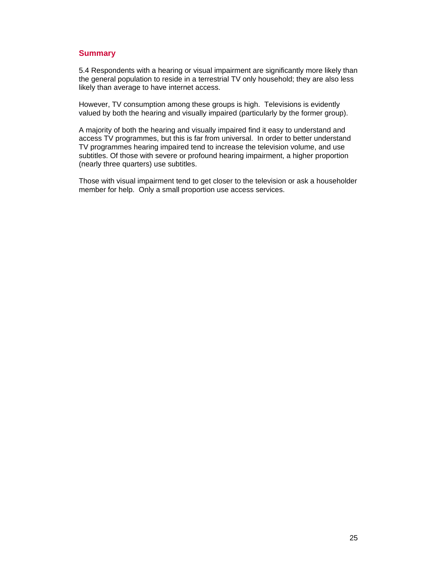# **Summary**

5.4 Respondents with a hearing or visual impairment are significantly more likely than the general population to reside in a terrestrial TV only household; they are also less likely than average to have internet access.

However, TV consumption among these groups is high. Televisions is evidently valued by both the hearing and visually impaired (particularly by the former group).

A majority of both the hearing and visually impaired find it easy to understand and access TV programmes, but this is far from universal. In order to better understand TV programmes hearing impaired tend to increase the television volume, and use subtitles. Of those with severe or profound hearing impairment, a higher proportion (nearly three quarters) use subtitles.

Those with visual impairment tend to get closer to the television or ask a householder member for help. Only a small proportion use access services.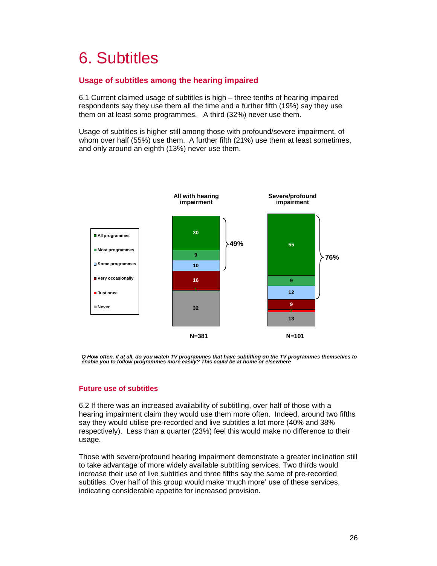# 6. Subtitles

# **Usage of subtitles among the hearing impaired**

6.1 Current claimed usage of subtitles is high – three tenths of hearing impaired respondents say they use them all the time and a further fifth (19%) say they use them on at least some programmes. A third (32%) never use them.

Usage of subtitles is higher still among those with profound/severe impairment, of whom over half (55%) use them. A further fifth (21%) use them at least sometimes, and only around an eighth (13%) never use them.



*Q How often, if at all, do you watch TV programmes that have subtitling on the TV programmes themselves to enable you to follow programmes more easily? This could be at home or elsewhere*

# **Future use of subtitles**

6.2 If there was an increased availability of subtitling, over half of those with a hearing impairment claim they would use them more often. Indeed, around two fifths say they would utilise pre-recorded and live subtitles a lot more (40% and 38% respectively). Less than a quarter (23%) feel this would make no difference to their usage.

Those with severe/profound hearing impairment demonstrate a greater inclination still to take advantage of more widely available subtitling services. Two thirds would increase their use of live subtitles and three fifths say the same of pre-recorded subtitles. Over half of this group would make 'much more' use of these services, indicating considerable appetite for increased provision.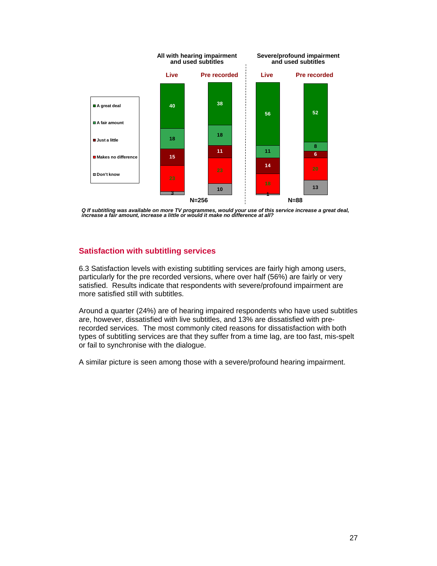

Q If subtitling was available on more TV programmes, would your use of this service increase a great deal,<br>increase a fair amount, increase a little or would it make no difference at all?

# **Satisfaction with subtitling services**

6.3 Satisfaction levels with existing subtitling services are fairly high among users, particularly for the pre recorded versions, where over half (56%) are fairly or very satisfied. Results indicate that respondents with severe/profound impairment are more satisfied still with subtitles.

Around a quarter (24%) are of hearing impaired respondents who have used subtitles are, however, dissatisfied with live subtitles, and 13% are dissatisfied with prerecorded services. The most commonly cited reasons for dissatisfaction with both types of subtitling services are that they suffer from a time lag, are too fast, mis-spelt or fail to synchronise with the dialogue.

A similar picture is seen among those with a severe/profound hearing impairment.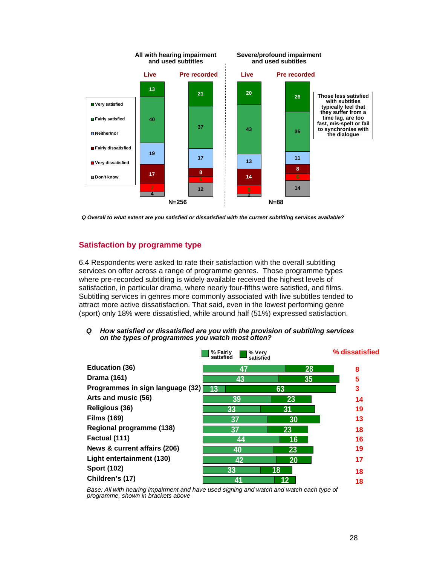

*Q Overall to what extent are you satisfied or dissatisfied with the current subtitling services available?* 

# **Satisfaction by programme type**

6.4 Respondents were asked to rate their satisfaction with the overall subtitling services on offer across a range of programme genres. Those programme types where pre-recorded subtitling is widely available received the highest levels of satisfaction, in particular drama, where nearly four-fifths were satisfied, and films. Subtitling services in genres more commonly associated with live subtitles tended to attract more active dissatisfaction. That said, even in the lowest performing genre (sport) only 18% were dissatisfied, while around half (51%) expressed satisfaction.

*Q How satisfied or dissatisfied are you with the provision of subtitling services on the types of programmes you watch most often?*

|                                  | % Fairly<br>% Very<br>satisfied<br>satisfied |    | % dissatisfied |
|----------------------------------|----------------------------------------------|----|----------------|
| <b>Education (36)</b>            | 47                                           | 28 | 8              |
| <b>Drama (161)</b>               | 43                                           | 35 | 5              |
| Programmes in sign language (32) | 13                                           | 63 | 3              |
| Arts and music (56)              | 39                                           | 23 | 14             |
| <b>Religious (36)</b>            | 33                                           | 31 | 19             |
| <b>Films (169)</b>               | 37                                           | 30 | 13             |
| Regional programme (138)         | 37                                           | 23 | 18             |
| Factual (111)                    | 44                                           | 16 | 16             |
| News & current affairs (206)     | 40                                           | 23 | 19             |
| Light entertainment (130)        | 42                                           | 20 | 17             |
| <b>Sport (102)</b>               | 33                                           | 18 | 18             |
| Children's (17)                  | 41                                           |    | 18             |

*Base: All with hearing impairment and have used signing and watch and watch each type of programme, shown in brackets above*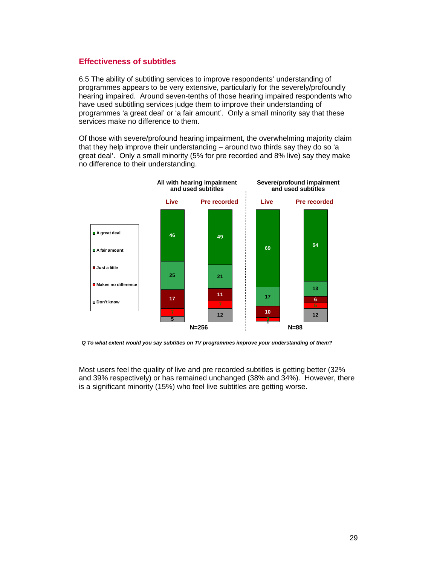# **Effectiveness of subtitles**

6.5 The ability of subtitling services to improve respondents' understanding of programmes appears to be very extensive, particularly for the severely/profoundly hearing impaired. Around seven-tenths of those hearing impaired respondents who have used subtitling services judge them to improve their understanding of programmes 'a great deal' or 'a fair amount'. Only a small minority say that these services make no difference to them.

Of those with severe/profound hearing impairment, the overwhelming majority claim that they help improve their understanding – around two thirds say they do so 'a great deal'. Only a small minority (5% for pre recorded and 8% live) say they make no difference to their understanding.



*Q To what extent would you say subtitles on TV programmes improve your understanding of them?*

Most users feel the quality of live and pre recorded subtitles is getting better (32% and 39% respectively) or has remained unchanged (38% and 34%). However, there is a significant minority (15%) who feel live subtitles are getting worse.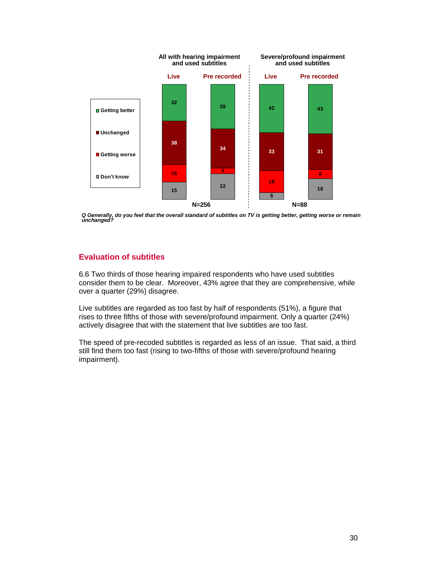

*Q Generally, do you feel that the overall standard of subtitles on TV is getting better, getting worse or remain unchanged?*

# **Evaluation of subtitles**

6.6 Two thirds of those hearing impaired respondents who have used subtitles consider them to be clear. Moreover, 43% agree that they are comprehensive, while over a quarter (29%) disagree.

Live subtitles are regarded as too fast by half of respondents (51%), a figure that rises to three fifths of those with severe/profound impairment. Only a quarter (24%) actively disagree that with the statement that live subtitles are too fast.

The speed of pre-recoded subtitles is regarded as less of an issue. That said, a third still find them too fast (rising to two-fifths of those with severe/profound hearing impairment).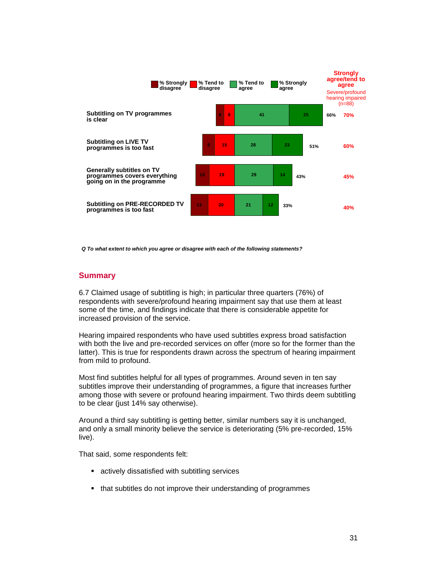

*Q To what extent to which you agree or disagree with each of the following statements?*

### **Summary**

6.7 Claimed usage of subtitling is high; in particular three quarters (76%) of respondents with severe/profound hearing impairment say that use them at least some of the time, and findings indicate that there is considerable appetite for increased provision of the service.

Hearing impaired respondents who have used subtitles express broad satisfaction with both the live and pre-recorded services on offer (more so for the former than the latter). This is true for respondents drawn across the spectrum of hearing impairment from mild to profound.

Most find subtitles helpful for all types of programmes. Around seven in ten say subtitles improve their understanding of programmes, a figure that increases further among those with severe or profound hearing impairment. Two thirds deem subtitling to be clear (just 14% say otherwise).

Around a third say subtitling is getting better, similar numbers say it is unchanged, and only a small minority believe the service is deteriorating (5% pre-recorded, 15% live).

That said, some respondents felt:

- actively dissatisfied with subtitling services
- that subtitles do not improve their understanding of programmes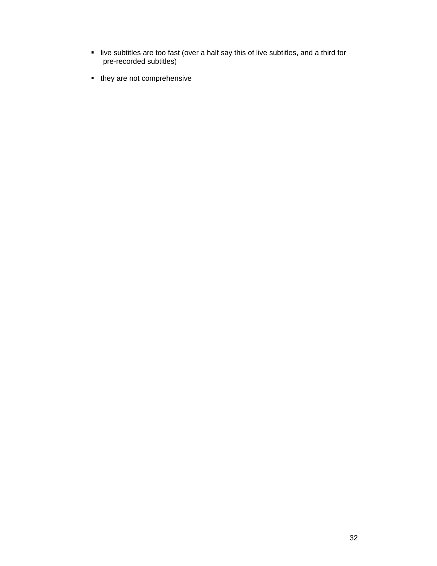- live subtitles are too fast (over a half say this of live subtitles, and a third for pre-recorded subtitles)
- they are not comprehensive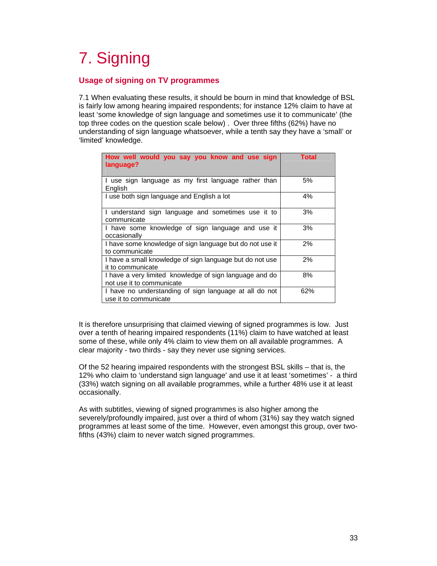# 7. Signing

# **Usage of signing on TV programmes**

7.1 When evaluating these results, it should be bourn in mind that knowledge of BSL is fairly low among hearing impaired respondents; for instance 12% claim to have at least 'some knowledge of sign language and sometimes use it to communicate' (the top three codes on the question scale below) . Over three fifths (62%) have no understanding of sign language whatsoever, while a tenth say they have a 'small' or 'limited' knowledge.

| How well would you say you know and use sign<br>language?                            | <b>Total</b> |
|--------------------------------------------------------------------------------------|--------------|
| I use sign language as my first language rather than<br>English                      | 5%           |
| I use both sign language and English a lot                                           | 4%           |
| I understand sign language and sometimes use it to<br>communicate                    | 3%           |
| I have some knowledge of sign language and use it<br>occasionally                    | 3%           |
| I have some knowledge of sign language but do not use it<br>to communicate           | 2%           |
| I have a small knowledge of sign language but do not use<br>it to communicate        | 2%           |
| I have a very limited knowledge of sign language and do<br>not use it to communicate | 8%           |
| I have no understanding of sign language at all do not<br>use it to communicate      | 62%          |

It is therefore unsurprising that claimed viewing of signed programmes is low. Just over a tenth of hearing impaired respondents (11%) claim to have watched at least some of these, while only 4% claim to view them on all available programmes. A clear majority - two thirds - say they never use signing services.

Of the 52 hearing impaired respondents with the strongest BSL skills – that is, the 12% who claim to 'understand sign language' and use it at least 'sometimes' - a third (33%) watch signing on all available programmes, while a further 48% use it at least occasionally.

As with subtitles, viewing of signed programmes is also higher among the severely/profoundly impaired, just over a third of whom (31%) say they watch signed programmes at least some of the time. However, even amongst this group, over twofifths (43%) claim to never watch signed programmes.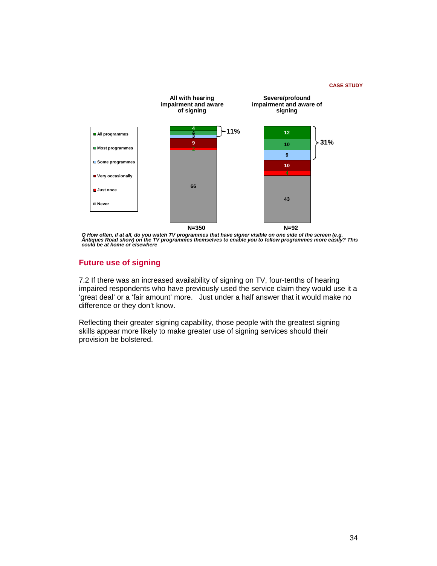#### **CASE STUDY**



Q How often, if at all, do you watch TV programmes that have signer visible on one side of the screen (e.g.<br>Antiques Road show) on the TV programmes themselves to enable you to follow programmes more easily? This<br>could be

# **Future use of signing**

7.2 If there was an increased availability of signing on TV, four-tenths of hearing impaired respondents who have previously used the service claim they would use it a 'great deal' or a 'fair amount' more. Just under a half answer that it would make no difference or they don't know.

Reflecting their greater signing capability, those people with the greatest signing skills appear more likely to make greater use of signing services should their provision be bolstered.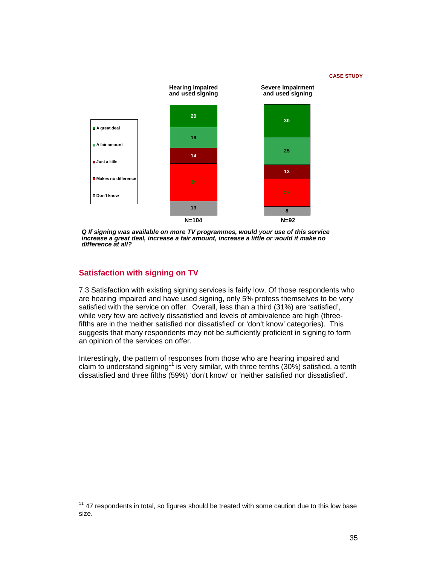#### **CASE STUDY**



*Q If signing was available on more TV programmes, would your use of this service increase a great deal, increase a fair amount, increase a little or would it make no difference at all?*

# **Satisfaction with signing on TV**

 $\overline{a}$ 

7.3 Satisfaction with existing signing services is fairly low. Of those respondents who are hearing impaired and have used signing, only 5% profess themselves to be very satisfied with the service on offer. Overall, less than a third (31%) are 'satisfied', while very few are actively dissatisfied and levels of ambivalence are high (threefifths are in the 'neither satisfied nor dissatisfied' or 'don't know' categories). This suggests that many respondents may not be sufficiently proficient in signing to form an opinion of the services on offer.

Interestingly, the pattern of responses from those who are hearing impaired and claim to understand signing<sup>11</sup> is very similar, with three tenths (30%) satisfied, a tenth dissatisfied and three fifths (59%) 'don't know' or 'neither satisfied nor dissatisfied'.

 $11$  47 respondents in total, so figures should be treated with some caution due to this low base size.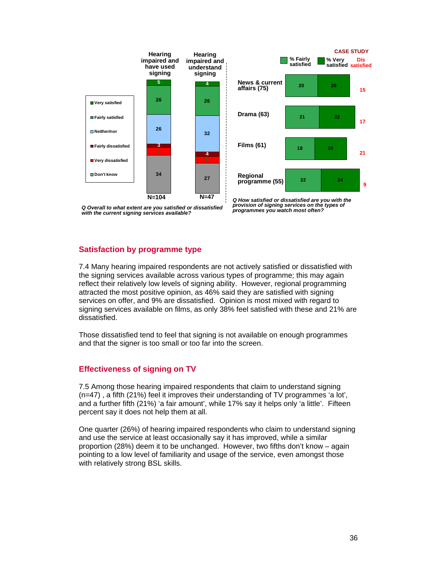

*Q Overall to what extent are you satisfied or dissatisfied with the current signing services available?* 

*Q How satisfied or dissatisfied are you with the provision of signing services on the types of programmes you watch most often?*

# **Satisfaction by programme type**

7.4 Many hearing impaired respondents are not actively satisfied or dissatisfied with the signing services available across various types of programme; this may again reflect their relatively low levels of signing ability. However, regional programming attracted the most positive opinion, as 46% said they are satisfied with signing services on offer, and 9% are dissatisfied. Opinion is most mixed with regard to signing services available on films, as only 38% feel satisfied with these and 21% are dissatisfied.

Those dissatisfied tend to feel that signing is not available on enough programmes and that the signer is too small or too far into the screen.

# **Effectiveness of signing on TV**

7.5 Among those hearing impaired respondents that claim to understand signing (n=47) , a fifth (21%) feel it improves their understanding of TV programmes 'a lot', and a further fifth (21%) 'a fair amount', while 17% say it helps only 'a little'. Fifteen percent say it does not help them at all.

One quarter (26%) of hearing impaired respondents who claim to understand signing and use the service at least occasionally say it has improved, while a similar proportion (28%) deem it to be unchanged. However, two fifths don't know – again pointing to a low level of familiarity and usage of the service, even amongst those with relatively strong BSL skills.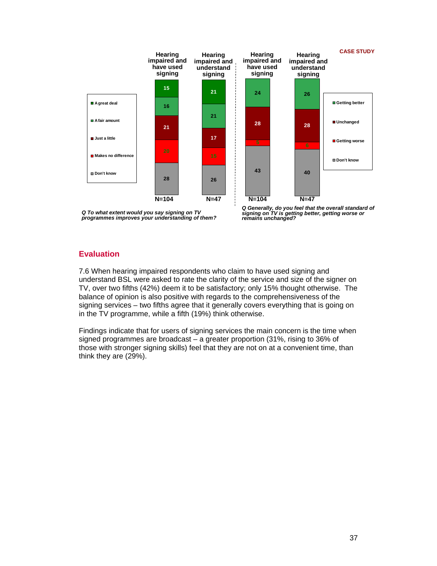

*Q To what extent would you say signing on TV programmes improves your understanding of them?*

*Q Generally, do you feel that the overall standard of signing on TV is getting better, getting worse or remains unchanged?*

# **Evaluation**

7.6 When hearing impaired respondents who claim to have used signing and understand BSL were asked to rate the clarity of the service and size of the signer on TV, over two fifths (42%) deem it to be satisfactory; only 15% thought otherwise. The balance of opinion is also positive with regards to the comprehensiveness of the signing services – two fifths agree that it generally covers everything that is going on in the TV programme, while a fifth (19%) think otherwise.

Findings indicate that for users of signing services the main concern is the time when signed programmes are broadcast – a greater proportion (31%, rising to 36% of those with stronger signing skills) feel that they are not on at a convenient time, than think they are (29%).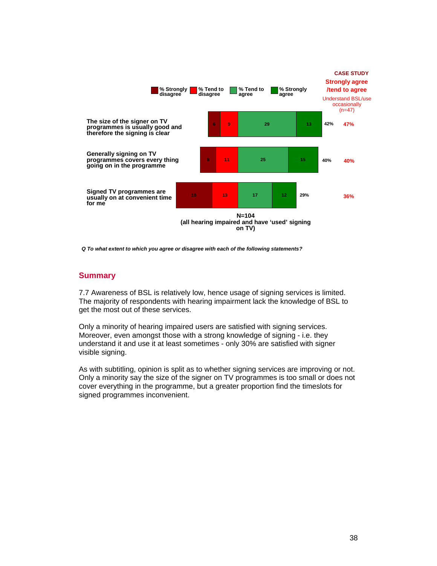

*Q To what extent to which you agree or disagree with each of the following statements?*

# **Summary**

7.7 Awareness of BSL is relatively low, hence usage of signing services is limited. The majority of respondents with hearing impairment lack the knowledge of BSL to get the most out of these services.

Only a minority of hearing impaired users are satisfied with signing services. Moreover, even amongst those with a strong knowledge of signing - i.e. they understand it and use it at least sometimes - only 30% are satisfied with signer visible signing.

As with subtitling, opinion is split as to whether signing services are improving or not. Only a minority say the size of the signer on TV programmes is too small or does not cover everything in the programme, but a greater proportion find the timeslots for signed programmes inconvenient.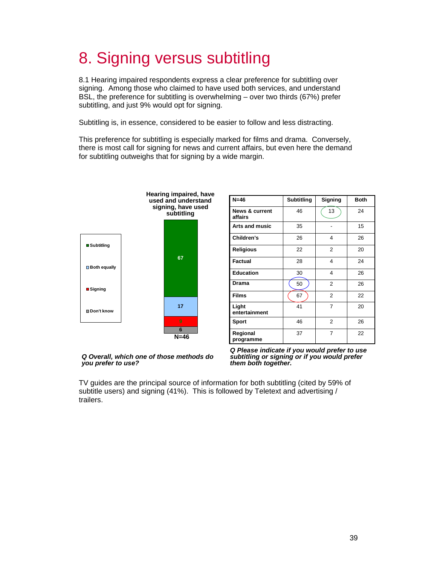# 8. Signing versus subtitling

8.1 Hearing impaired respondents express a clear preference for subtitling over signing. Among those who claimed to have used both services, and understand BSL, the preference for subtitling is overwhelming – over two thirds (67%) prefer subtitling, and just 9% would opt for signing.

Subtitling is, in essence, considered to be easier to follow and less distracting.

This preference for subtitling is especially marked for films and drama. Conversely, there is most call for signing for news and current affairs, but even here the demand for subtitling outweighs that for signing by a wide margin.



#### *Q Overall, which one of those methods do you prefer to use?*

| $N=46$                               | Subtitling | Signing        | <b>Both</b> |
|--------------------------------------|------------|----------------|-------------|
| <b>News &amp; current</b><br>affairs | 46         | 13             | 24          |
| <b>Arts and music</b>                | 35         |                | 15          |
| Children's                           | 26         | 4              | 26          |
| <b>Religious</b>                     | 22         | 2              | 20          |
| Factual                              | 28         | 4              | 24          |
| <b>Education</b>                     | 30         | 4              | 26          |
| Drama                                | 50         | 2              | 26          |
| <b>Films</b>                         | 67         | $\overline{2}$ | 22          |
| Light<br>entertainment               | 41         | 7              | 20          |
| Sport                                | 46         | $\overline{2}$ | 26          |
| Regional<br>programme                | 37         | 7              | 22          |

*Q Please indicate if you would prefer to use subtitling or signing or if you would prefer them both together.*

TV guides are the principal source of information for both subtitling (cited by 59% of subtitle users) and signing (41%). This is followed by Teletext and advertising / trailers.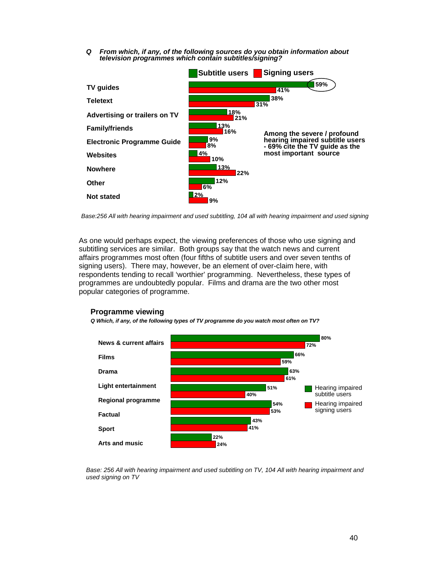*Q From which, if any, of the following sources do you obtain information about television programmes which contain subtitles/signing?* 



*Base:256 All with hearing impairment and used subtitling, 104 all with hearing impairment and used signing*

As one would perhaps expect, the viewing preferences of those who use signing and subtitling services are similar. Both groups say that the watch news and current affairs programmes most often (four fifths of subtitle users and over seven tenths of signing users). There may, however, be an element of over-claim here, with respondents tending to recall 'worthier' programming. Nevertheless, these types of programmes are undoubtedly popular. Films and drama are the two other most popular categories of programme.



**Programme viewing**

*Q Which, if any, of the following types of TV programme do you watch most often on TV?* 

*Base: 256 All with hearing impairment and used subtitling on TV, 104 All with hearing impairment and used signing on TV*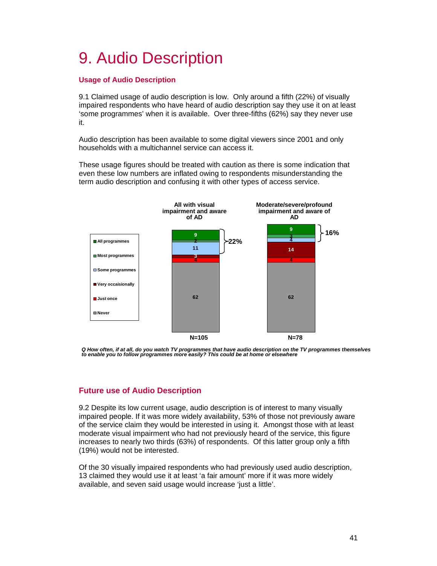# 9. Audio Description

# **Usage of Audio Description**

9.1 Claimed usage of audio description is low. Only around a fifth (22%) of visually impaired respondents who have heard of audio description say they use it on at least 'some programmes' when it is available. Over three-fifths (62%) say they never use it.

Audio description has been available to some digital viewers since 2001 and only households with a multichannel service can access it.

These usage figures should be treated with caution as there is some indication that even these low numbers are inflated owing to respondents misunderstanding the term audio description and confusing it with other types of access service.



Q How often, if at all, do you watch TV programmes that have audio description on the TV programmes themselves<br>to enable you to follow programmes more easily? This could be at home or elsewhere

# **Future use of Audio Description**

9.2 Despite its low current usage, audio description is of interest to many visually impaired people. If it was more widely availability, 53% of those not previously aware of the service claim they would be interested in using it. Amongst those with at least moderate visual impairment who had not previously heard of the service, this figure increases to nearly two thirds (63%) of respondents. Of this latter group only a fifth (19%) would not be interested.

Of the 30 visually impaired respondents who had previously used audio description, 13 claimed they would use it at least 'a fair amount' more if it was more widely available, and seven said usage would increase 'just a little'.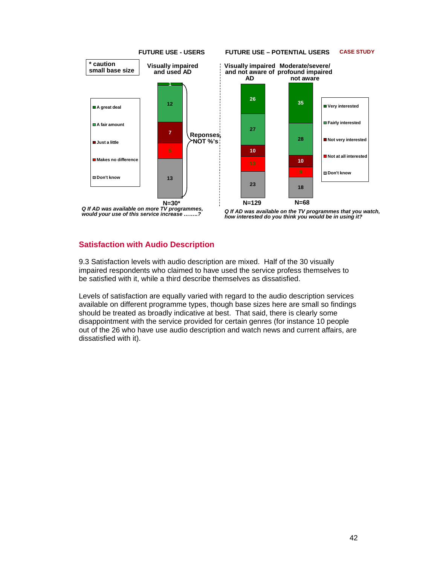



*Q If AD was available on the TV programmes that you watch, how interested do you think you would be in using it?*

# **Satisfaction with Audio Description**

9.3 Satisfaction levels with audio description are mixed. Half of the 30 visually impaired respondents who claimed to have used the service profess themselves to be satisfied with it, while a third describe themselves as dissatisfied.

Levels of satisfaction are equally varied with regard to the audio description services available on different programme types, though base sizes here are small so findings should be treated as broadly indicative at best. That said, there is clearly some disappointment with the service provided for certain genres (for instance 10 people out of the 26 who have use audio description and watch news and current affairs, are dissatisfied with it).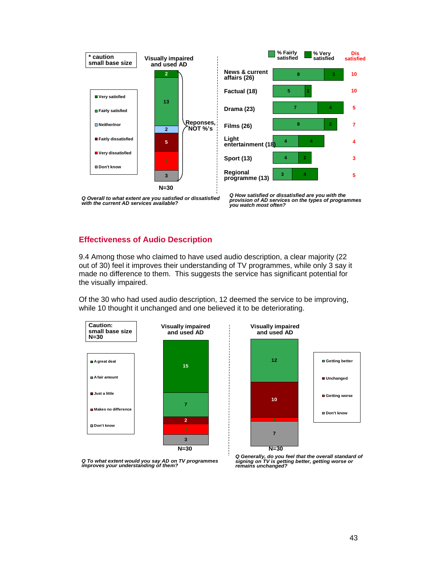

*Q Overall to what extent are you satisfied or dissatisfied with the current AD services available?* 

# **Effectiveness of Audio Description**

9.4 Among those who claimed to have used audio description, a clear majority (22 out of 30) feel it improves their understanding of TV programmes, while only 3 say it made no difference to them. This suggests the service has significant potential for the visually impaired.

Of the 30 who had used audio description, 12 deemed the service to be improving, while 10 thought it unchanged and one believed it to be deteriorating.







*Q Generally, do you feel that the overall standard of signing on TV is getting better, getting worse or remains unchanged?*

*Q How satisfied or dissatisfied are you with the provision of AD services on the types of programmes you watch most often?*